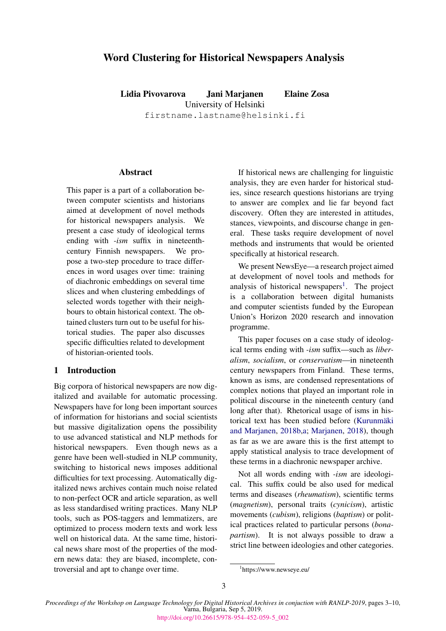# Word Clustering for Historical Newspapers Analysis

Lidia Pivovarova Jani Marjanen Elaine Zosa University of Helsinki

firstname.lastname@helsinki.fi

## **Abstract**

This paper is a part of a collaboration between computer scientists and historians aimed at development of novel methods for historical newspapers analysis. We present a case study of ideological terms ending with *-ism* suffix in nineteenthcentury Finnish newspapers. We propose a two-step procedure to trace differences in word usages over time: training of diachronic embeddings on several time slices and when clustering embeddings of selected words together with their neighbours to obtain historical context. The obtained clusters turn out to be useful for historical studies. The paper also discusses specific difficulties related to development of historian-oriented tools.

## 1 Introduction

Big corpora of historical newspapers are now digitalized and available for automatic processing. Newspapers have for long been important sources of information for historians and social scientists but massive digitalization opens the possibility to use advanced statistical and NLP methods for historical newspapers. Even though news as a genre have been well-studied in NLP community, switching to historical news imposes additional difficulties for text processing. Automatically digitalized news archives contain much noise related to non-perfect OCR and article separation, as well as less standardised writing practices. Many NLP tools, such as POS-taggers and lemmatizers, are optimized to process modern texts and work less well on historical data. At the same time, historical news share most of the properties of the modern news data: they are biased, incomplete, controversial and apt to change over time.

If historical news are challenging for linguistic analysis, they are even harder for historical studies, since research questions historians are trying to answer are complex and lie far beyond fact discovery. Often they are interested in attitudes, stances, viewpoints, and discourse change in general. These tasks require development of novel methods and instruments that would be oriented specifically at historical research.

We present NewsEye—a research project aimed at development of novel tools and methods for analysis of historical newspapers<sup>[1](#page-0-0)</sup>. The project is a collaboration between digital humanists and computer scientists funded by the European Union's Horizon 2020 research and innovation programme.

This paper focuses on a case study of ideological terms ending with *-ism* suffix—such as *liberalism*, *socialism*, or *conservatism*—in nineteenth century newspapers from Finland. These terms, known as isms, are condensed representations of complex notions that played an important role in political discourse in the nineteenth century (and long after that). Rhetorical usage of isms in historical text has been studied before (Kurunmäki [and Marjanen,](#page-7-0) [2018b,](#page-7-0)[a;](#page-7-1) [Marjanen,](#page-7-2) [2018\)](#page-7-2), though as far as we are aware this is the first attempt to apply statistical analysis to trace development of these terms in a diachronic newspaper archive.

Not all words ending with *-ism* are ideological. This suffix could be also used for medical terms and diseases (*rheumatism*), scientific terms (*magnetism*), personal traits (*cynicism*), artistic movements (*cubism*), religions (*baptism*) or political practices related to particular persons (*bonapartism*). It is not always possible to draw a strict line between ideologies and other categories.

<span id="page-0-0"></span><sup>1</sup> https://www.newseye.eu/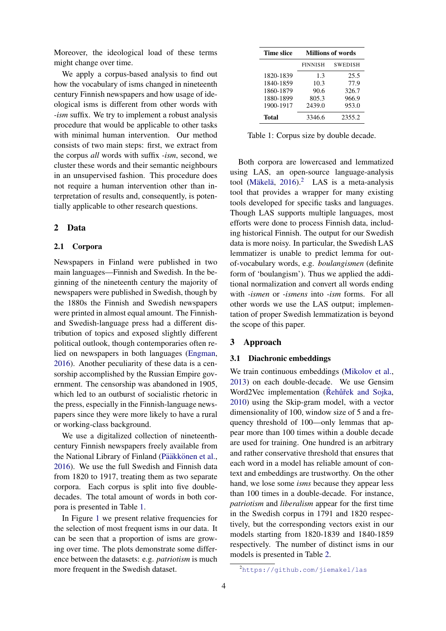Moreover, the ideological load of these terms might change over time.

We apply a corpus-based analysis to find out how the vocabulary of isms changed in nineteenth century Finnish newspapers and how usage of ideological isms is different from other words with *-ism* suffix. We try to implement a robust analysis procedure that would be applicable to other tasks with minimal human intervention. Our method consists of two main steps: first, we extract from the corpus *all* words with suffix *-ism*, second, we cluster these words and their semantic neighbours in an unsupervised fashion. This procedure does not require a human intervention other than interpretation of results and, consequently, is potentially applicable to other research questions.

## 2 Data

### 2.1 Corpora

Newspapers in Finland were published in two main languages—Finnish and Swedish. In the beginning of the nineteenth century the majority of newspapers were published in Swedish, though by the 1880s the Finnish and Swedish newspapers were printed in almost equal amount. The Finnishand Swedish-language press had a different distribution of topics and exposed slightly different political outlook, though contemporaries often relied on newspapers in both languages [\(Engman,](#page-7-3) [2016\)](#page-7-3). Another peculiarity of these data is a censorship accomplished by the Russian Empire government. The censorship was abandoned in 1905, which led to an outburst of socialistic rhetoric in the press, especially in the Finnish-language newspapers since they were more likely to have a rural or working-class background.

We use a digitalized collection of nineteenthcentury Finnish newspapers freely available from the National Library of Finland (Pääkkönen et al., [2016\)](#page-7-4). We use the full Swedish and Finnish data from 1820 to 1917, treating them as two separate corpora. Each corpus is split into five doubledecades. The total amount of words in both corpora is presented in Table [1.](#page-1-0)

In Figure [1](#page-2-0) we present relative frequencies for the selection of most frequent isms in our data. It can be seen that a proportion of isms are growing over time. The plots demonstrate some difference between the datasets: e.g. *patriotism* is much more frequent in the Swedish dataset.

<span id="page-1-0"></span>

| Time slice | <b>Millions of words</b> |                |  |
|------------|--------------------------|----------------|--|
|            | <b>FINNISH</b>           | <b>SWEDISH</b> |  |
| 1820-1839  | 1.3                      | 25.5           |  |
| 1840-1859  | 10.3                     | 77.9           |  |
| 1860-1879  | 90.6                     | 326.7          |  |
| 1880-1899  | 805.3                    | 966.9          |  |
| 1900-1917  | 2439.0                   | 953.0          |  |
| Total      | 3346.6                   | 2355.2         |  |

Table 1: Corpus size by double decade.

Both corpora are lowercased and lemmatized using LAS, an open-source language-analysis tool (Mäkelä, [2016\)](#page-7-5).<sup>[2](#page-1-1)</sup> LAS is a meta-analysis tool that provides a wrapper for many existing tools developed for specific tasks and languages. Though LAS supports multiple languages, most efforts were done to process Finnish data, including historical Finnish. The output for our Swedish data is more noisy. In particular, the Swedish LAS lemmatizer is unable to predict lemma for outof-vocabulary words, e.g. *boulangismen* (definite form of 'boulangism'). Thus we applied the additional normalization and convert all words ending with *-ismen* or *-ismens* into *-ism* forms. For all other words we use the LAS output; implementation of proper Swedish lemmatization is beyond the scope of this paper.

## 3 Approach

## 3.1 Diachronic embeddings

We train continuous embeddings [\(Mikolov et al.,](#page-7-6) [2013\)](#page-7-6) on each double-decade. We use Gensim Word2Vec implementation (Rehurtiek and Sojka, [2010\)](#page-7-7) using the Skip-gram model, with a vector dimensionality of 100, window size of 5 and a frequency threshold of 100—only lemmas that appear more than 100 times within a double decade are used for training. One hundred is an arbitrary and rather conservative threshold that ensures that each word in a model has reliable amount of context and embeddings are trustworthy. On the other hand, we lose some *isms* because they appear less than 100 times in a double-decade. For instance, *patriotism* and *liberalism* appear for the first time in the Swedish corpus in 1791 and 1820 respectively, but the corresponding vectors exist in our models starting from 1820-1839 and 1840-1859 respectively. The number of distinct isms in our models is presented in Table [2.](#page-3-0)

<span id="page-1-1"></span><sup>2</sup><https://github.com/jiemakel/las>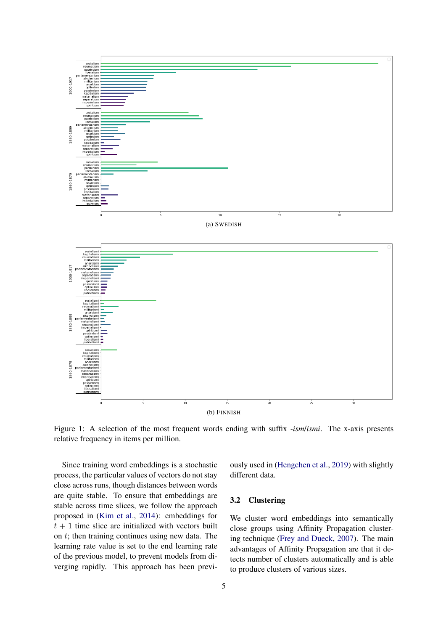<span id="page-2-0"></span>

Figure 1: A selection of the most frequent words ending with suffix *-ism*/*ismi*. The x-axis presents relative frequency in items per million.

Since training word embeddings is a stochastic process, the particular values of vectors do not stay close across runs, though distances between words are quite stable. To ensure that embeddings are stable across time slices, we follow the approach proposed in [\(Kim et al.,](#page-7-8) [2014\)](#page-7-8): embeddings for  $t + 1$  time slice are initialized with vectors built on  $t$ ; then training continues using new data. The learning rate value is set to the end learning rate of the previous model, to prevent models from diverging rapidly. This approach has been previously used in [\(Hengchen et al.,](#page-7-9) [2019\)](#page-7-9) with slightly different data.

## 3.2 Clustering

We cluster word embeddings into semantically close groups using Affinity Propagation clustering technique [\(Frey and Dueck,](#page-7-10) [2007\)](#page-7-10). The main advantages of Affinity Propagation are that it detects number of clusters automatically and is able to produce clusters of various sizes.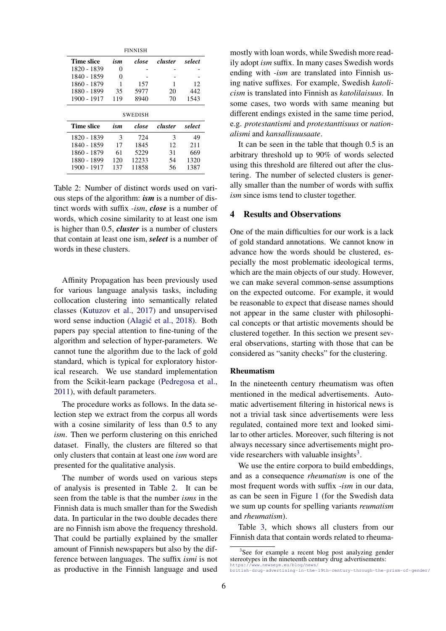<span id="page-3-0"></span>

| <b>FINNISH</b>    |     |       |         |        |
|-------------------|-----|-------|---------|--------|
| Time slice        | ism | close | cluster | select |
| 1820 - 1839       | 0   |       |         |        |
| 1840 - 1859       | 0   |       |         |        |
| 1860 - 1879       | 1   | 157   |         | 12     |
| 1880 - 1899       | 35  | 5977  | 20      | 442    |
| 1900 - 1917       | 119 | 8940  | 70      | 1543   |
| <b>SWEDISH</b>    |     |       |         |        |
|                   |     |       |         |        |
| <b>Time slice</b> | ism | close | cluster | select |
| 1820 - 1839       | 3   | 724   | 3       | 49     |
| 1840 - 1859       | 17  | 1845  | 12      | 211    |
| 1860 - 1879       | 61  | 5229  | 31      | 669    |
| 1880 - 1899       | 120 | 12233 | 54      | 1320   |

Table 2: Number of distinct words used on various steps of the algorithm: *ism* is a number of distinct words with suffix *-ism*, *close* is a number of words, which cosine similarity to at least one ism is higher than 0.5, *cluster* is a number of clusters that contain at least one ism, *select* is a number of words in these clusters.

Affinity Propagation has been previously used for various language analysis tasks, including collocation clustering into semantically related classes [\(Kutuzov et al.,](#page-7-11) [2017\)](#page-7-11) and unsupervised word sense induction (Alagić et al., [2018\)](#page-7-12). Both papers pay special attention to fine-tuning of the algorithm and selection of hyper-parameters. We cannot tune the algorithm due to the lack of gold standard, which is typical for exploratory historical research. We use standard implementation from the Scikit-learn package [\(Pedregosa et al.,](#page-7-13) [2011\)](#page-7-13), with default parameters.

The procedure works as follows. In the data selection step we extract from the corpus all words with a cosine similarity of less than 0.5 to any *ism*. Then we perform clustering on this enriched dataset. Finally, the clusters are filtered so that only clusters that contain at least one *ism* word are presented for the qualitative analysis.

The number of words used on various steps of analysis is presented in Table [2.](#page-3-0) It can be seen from the table is that the number *isms* in the Finnish data is much smaller than for the Swedish data. In particular in the two double decades there are no Finnish ism above the frequency threshold. That could be partially explained by the smaller amount of Finnish newspapers but also by the difference between languages. The suffix *ismi* is not as productive in the Finnish language and used

mostly with loan words, while Swedish more readily adopt *ism* suffix. In many cases Swedish words ending with *-ism* are translated into Finnish using native suffixes. For example, Swedish *katolicism* is translated into Finnish as *katolilaisuus*. In some cases, two words with same meaning but different endings existed in the same time period, e.g. *protestantismi* and *protestanttisuus* or *nationalismi* and *kansallisuusaate*.

It can be seen in the table that though 0.5 is an arbitrary threshold up to 90% of words selected using this threshold are filtered out after the clustering. The number of selected clusters is generally smaller than the number of words with suffix *ism* since isms tend to cluster together.

## 4 Results and Observations

One of the main difficulties for our work is a lack of gold standard annotations. We cannot know in advance how the words should be clustered, especially the most problematic ideological terms, which are the main objects of our study. However, we can make several common-sense assumptions on the expected outcome. For example, it would be reasonable to expect that disease names should not appear in the same cluster with philosophical concepts or that artistic movements should be clustered together. In this section we present several observations, starting with those that can be considered as "sanity checks" for the clustering.

### Rheumatism

In the nineteenth century rheumatism was often mentioned in the medical advertisements. Automatic advertisement filtering in historical news is not a trivial task since advertisements were less regulated, contained more text and looked similar to other articles. Moreover, such filtering is not always necessary since advertisements might pro-vide researchers with valuable insights<sup>[3](#page-3-1)</sup>.

We use the entire corpora to build embeddings, and as a consequence *rheumatism* is one of the most frequent words with suffix *-ism* in our data, as can be seen in Figure [1](#page-2-0) (for the Swedish data we sum up counts for spelling variants *reumatism* and *rheumatism*).

Table [3,](#page-4-0) which shows all clusters from our Finnish data that contain words related to rheuma-

<span id="page-3-1"></span><sup>&</sup>lt;sup>3</sup>See for example a recent blog post analyzing gender stereotypes in the nineteenth century drug advertisements:

[https://www.newseye.eu/blog/news/](https://www.newseye.eu/blog/news/british-drug-advertising-in-the-19th-century-through-the-prism-of-gender/) [british-drug-advertising-in-the-19th-century-through-the-prism-of-gender/](https://www.newseye.eu/blog/news/british-drug-advertising-in-the-19th-century-through-the-prism-of-gender/)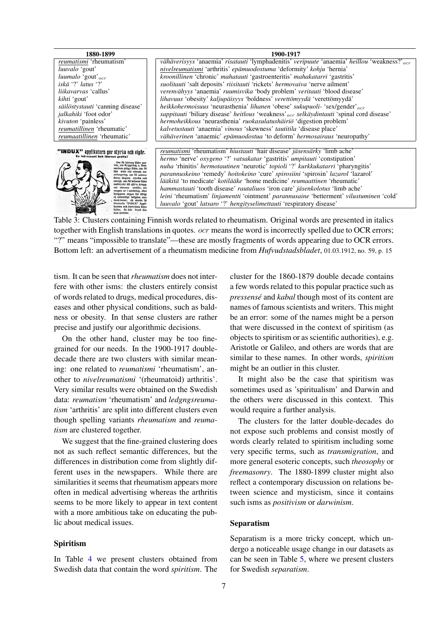<span id="page-4-0"></span>

| 1880-1899                                                                            | 1900-1917                                                                                               |
|--------------------------------------------------------------------------------------|---------------------------------------------------------------------------------------------------------|
| <i>reumatismi</i> 'rheumatism'                                                       | vähäverisyys 'anaemia' risatauti 'lymphadenitis' veripuute 'anaemia' heillou 'weakness?' <sub>ocr</sub> |
| <i>luuvalo</i> 'gout'                                                                | <i>nivelreumatismi</i> 'arthritis' <i>epämuodostuma</i> 'deformity' <i>kohju</i> 'hernia'               |
| $luumalo$ 'gout' $_{ocr}$                                                            | kroonillinen 'chronic' mahatauti 'gastroenteritis' mahakatarri 'gastritis'                              |
| iskä '?' latus '?'                                                                   | suolitauti 'salt deposits' riisitauti 'rickets' hermovaiva 'nerve ailment'                              |
| <i>liikavarvas</i> 'callus'                                                          | <i>verenvähyys 'anaemia' ruumisvika 'body problem' veritauti 'blood disease'</i>                        |
| kihti 'gout'                                                                         | lihavuus 'obesity' kaljupäisyys 'boldness' verettömyydä 'verettömyydä'                                  |
| säilöstystauti 'canning disease'                                                     | heikkohermoisuus 'neurasthenia' lihanen 'obese' sukupuoli- 'sex/gender' <sub>ocr</sub>                  |
| <i>jalkahiki</i> 'foot odor'                                                         | sappitauti 'biliary disease' heitlous 'weakness' <sub>ocr</sub> selkäydintauti 'spinal cord disease'    |
| kivuton 'painless'                                                                   | hermoheikkous 'neurasthenia' ruokasulatushäiriö 'digestion problem'                                     |
| reumatillinen 'rheumatic'                                                            | kalvetustauti 'anaemia' vinous 'skewness' tautitila 'disease place'                                     |
| <i>reumaatillinen</i> 'rheumatic'                                                    | vähäverinen 'anaemic' epämuodostua 'to deform' hermosairaus 'neuropathy'                                |
|                                                                                      |                                                                                                         |
| <b>X''</b> applikatorn ger styrka och vigör.<br>En intressant bok lämnas gratis!     | <i>reumatismi</i> 'rheumatism' <i>hiustauti</i> 'hair disease' <i>jäsensärky</i> 'limb ache'            |
| Om Ni känner Eder ner-                                                               | hermo 'nerve' oxygeno '?' vatsakatar 'gastritis' umpitauti 'constipation'                               |
| vös, om Ryggvärk o, Reu-<br>matism plåga Eder, om Ni                                 | nuha 'rhinitis' hermotautinen 'neurotic' topioli '?' kurkkukatarri 'pharyngitis'                        |
| blir trött vid minsta an-<br>strängning, om Ni saknar<br>forna dagars styrka och     | parannuskeino 'remedy' hoitokeino 'cure' spirosiini 'spirosin' lazarol 'lazarol'                        |
| energi, om Ni känner Eder<br>nedtryckt till själ o. kropp.                           | <i>lääkitä</i> 'to medicate' <i>kotilääke</i> 'home medicine' <i>reumaattinen</i> 'rheumatic'           |
| om sömnen uteblir, om<br>magen är i oordning, eller                                  | <i>hammastauti</i> 'tooth disease' <i>rautaliuos</i> 'iron care' <i>jäsenkolotus</i> 'limb ache'        |
| kroppens organ för öfrigt<br>ej ordentligt fullgöra sina<br>funktioner, då skulle Ni | leini 'rheumatism' linjamentti 'ointment' parannusaine 'betterment' vilustuminen 'cold'                 |
| förskaffa "INDUX" Appli-<br>katorn och återvinna Eder                                | <i>luuvalo</i> 'gout' <i>latsaro</i> '?' <i>hengityselimettauti</i> 'respiratory disease'               |
| hälsa. Se här hvad den<br>kan uträtta:                                               |                                                                                                         |

Table 3: Clusters containing Finnish words related to rheumatism. Original words are presented in italics together with English translations in quotes. *ocr* means the word is incorrectly spelled due to OCR errors; "?" means "impossible to translate"—these are mostly fragments of words appearing due to OCR errors. Bottom left: an advertisement of a rheumatism medicine from *Hufvudstadsbladet*, 01.03.1912, no. 59, p. 15

tism. It can be seen that*rheumatism* does not interfere with other isms: the clusters entirely consist of words related to drugs, medical procedures, diseases and other physical conditions, such as baldness or obesity. In that sense clusters are rather precise and justify our algorithmic decisions.

On the other hand, cluster may be too finegrained for our needs. In the 1900-1917 doubledecade there are two clusters with similar meaning: one related to *reumatismi* 'rheumatism', another to *nivelreumatismi* '(rheumatoid) arthritis'. Very similar results were obtained on the Swedish data: *reumatism* 'rheumatism' and *ledgngsreumatism* 'arthritis' are split into different clusters even though spelling variants *rheumatism* and *reumatism* are clustered together.

We suggest that the fine-grained clustering does not as such reflect semantic differences, but the differences in distribution come from slightly different uses in the newspapers. While there are similarities it seems that rheumatism appears more often in medical advertising whereas the arthritis seems to be more likely to appear in text content with a more ambitious take on educating the public about medical issues.

### Spiritism

In Table [4](#page-5-0) we present clusters obtained from Swedish data that contain the word *spiritism*. The

cluster for the 1860-1879 double decade contains a few words related to this popular practice such as *pressense´* and *kabal* though most of its content are names of famous scientists and writers. This might be an error: some of the names might be a person that were discussed in the context of spiritism (as objects to spiritism or as scientific authorities), e.g. Aristotle or Galileo, and others are words that are similar to these names. In other words, *spiritism* might be an outlier in this cluster.

It might also be the case that spiritism was sometimes used as 'spiritualism' and Darwin and the others were discussed in this context. This would require a further analysis.

The clusters for the latter double-decades do not expose such problems and consist mostly of words clearly related to spiritism including some very specific terms, such as *transmigration*, and more general esoteric concepts, such *theosophy* or *freemasonry*. The 1880-1899 cluster might also reflect a contemporary discussion on relations between science and mysticism, since it contains such isms as *positivism* or *darwinism*.

## Separatism

Separatism is a more tricky concept, which undergo a noticeable usage change in our datasets as can be seen in Table [5,](#page-5-1) where we present clusters for Swedish *separatism*.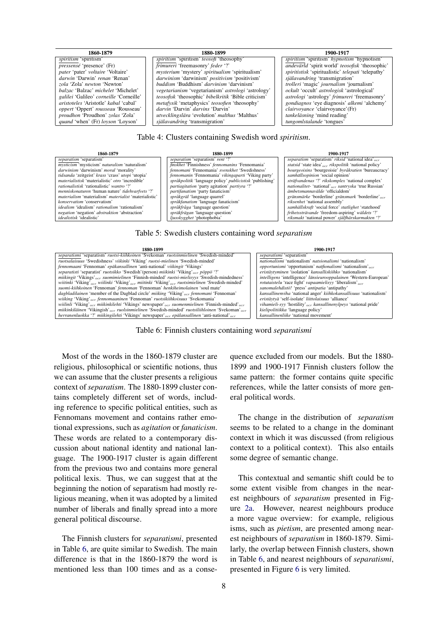*quand* 'when' (Fr) *loyson* 'Loyson'

### 1860-1879 1880-1899 1900-1917

<span id="page-5-0"></span>*spiritism* 'spiritism' **spiritism'** *spiritism* 'spiritism' *teosofi* 'theosophy' *spiritism* 'spiritism' *hypnotism* 'hypnotism' *pressensé* 'presence' (Fr) *frimureri* 'freemasonry' *feder* '?' *andevarld* 'spirit world *pressense* 'presence' (Fr) **frimureri** 'freemasonry' *feder* '?' **andevarld** 'spirit world' *teosofisk* 'theosophic' *pater* 'pater' voltaire 'Voltaire' **bluese** '/' *andevarld* 'spiritistisk 'spiritualistic' *telepati* ' *pater* 'pater' *voltaire* 'Voltaire' **mysterium** 'mystery' *spiritualism* 'spiritualism' *spiritistisk* 'spiritualistic' *telep*<br> *darwinism* 'darwinism' *positivism* 'positivism' **positivism'** spiritualism' spiritualism *darwin* 'Darwin' *renan* 'Renan' **darwinism** 'darwinism' *positivism* 'positivism' ism' själavandring 'transmigration' isotopic state is a spalavandring transmigration' isotopic state of the spalar of the spalar of the sp zola 'Zola' *newton* 'Newton' | buddism 'Buddhism' *darvinism* 'darvinism' | trolleri 'magic' *journalism* 'journalism' balzac 'Balzac' michelet 'Michelet' | vegetarianism 'vegetarianism' astrologi 'astrology' | ckult 'occ *balzac* 'Balzac' *michelet* 'Michelet'  $|$  *vegetarianism* 'vegetarianism' *astrologi* 'astrology *ealilei* 'Galileo' *corneille* 'Corneille' *astrology teosofisk* 'theosophic' *bibelkritik* 'Bible criticism' *galilei* 'Galileo' *corneille* 'Corneille' *deosofisk* 'theosophic' *bibelkritik* 'Bible criticism' *astrologi* 'astrology' *frimureri* 'freemasonry' *aristoteles* 'Aristotle' *kabal* 'cabal' *atteroishi* 'metaphysics' *t aristorial 'Aristoteles' in the metafysik* 'metaphysics' *teosofien* 'theosophy' *gondiagnos* 'eye diagnosis' *alkedarin* 'Darvin' *darvins* 'Darvin' 'Darvin' 'Darvin' 'Darvin' 'Darvin' 'Darvin' 'Darvin' 'Darvin' 'Darvin' *oppert* 'Oppert' *rousseau* 'Rousseau' *darvin* 'Darvin' *darvins* 'Darvin' *darvins* 'Darvin' *clairvoyance* 'clairvoyance' (Fr) *darvin* 'Darvin' *darvins* 'Darvin' *darvins* 'Malthus' *darkeläsning* 'mind reading' *dar providency in a in the interpretation' <i>utvecklingslara* 'evolution' *malthus* 'Malthus' *ankelasning* 'mind reading' *tankelasning* 'mind reading' *tankelasning* 'mind reading

### Table 4: Clusters containing Swedish word *spiritism*.

materialism' materialism' *materialist* 'materialistic' | *språkgräl* 'language quarrel' *konservatism* 'conservatism' *rationalism* 'rationalism' *språkfråga* 'language question' *idealism* '*rationalism* 'rationalism' *s* 

*mysticism* 'mysticism' *naturalism* 'naturalism' *finskhet* 'Finnishness' *fennomanins* 'Fennomania' *darwinism* 'darwinism' *moral* 'morality' *fennomani* 'Fennomania' *svenskhet* 'Swedishness *darwinism* 'darwinism' *moral* 'morality' *fennomani* 'Fennomania' *svenskhet* 'Swedishness' *bourgeoisins* 'bourgeoisie' *byrakratien* 'bureaucracy' *fennomania* 'Fennomania' *viking party*' samhällsopinion 'social opini *tidsanda* 'zeitgeist' *krass* 'crass' *utopi* 'utopia' *fennomanin* 'Fennomania' *vikingaparti* 'Viking party' *samhallsopinion ¨* 'social opinion' materialistisk 'materialistic' otro 'incredible' språkpolitik 'language policy' publicistisk 'publishing' sträfvandenas '?' rikskomplex 'national complex' nationalistisk 'rationalistic' wantro '?' partiagitation 'party agi *menniskonaturen* 'human nature' *itidehvarfvets* '?' **partifanatism' party agitation'** *party agitation' party agitation' party agitation' party artism* **and** *alter**anaticism' and artifanatism' and alterial in the time in materialism* 'materialism' *materialistic*' **alixies** in *sprakgral* 'language quarrel' **in the sprake** 'borderline' *gransmarke* 'borderline' *gransmarke* 'borderline' *gransmarke* 'borderline' *gransmarke* **in** *sprakfa idealism* 'idealism' *rationalism* 'rationalism' *språkfråga* 'language question' *smhällskraft* 'social force' *statlighet* 'statehood' *spräkfrågan* 'language question' *frihetssträvande* 'freedom-aspiring' *wäldets* '? *negation* 'negation' *abstraktion* 'abstraction' *sprakfragan* 'language question' *frihetsstravande* 'freedom-aspiring' *waldets idealistic' iusskygghet* 'photophobia' *iusskygghet* 'photophobia' *iksmakt* 'national

### 1860-1879 1880-1899 1900-1917

<span id="page-5-1"></span>*separatism* 'separatism' *separatism* 'separatism' *rent* '?' *separatism* 'separatism' *riksid* 'national idea'ocr *idealistisk* 'idealistic' *ljusskygghet* 'photophobia' *riksmakt* 'national power' *sjalfh ¨ arskarmakten ¨* '?'

### Table 5: Swedish clusters containing word *separatism*

<span id="page-5-2"></span>

Table 6: Finnish clusters containing word *separatismi*

Most of the words in the 1860-1879 cluster are religious, philosophical or scientific notions, thus we can assume that the cluster presents a religious context of *separatism*. The 1880-1899 cluster contains completely different set of words, including reference to specific political entities, such as Fennomans movement and contains rather emotional expressions, such as *agitation* or *fanaticism*. These words are related to a contemporary discussion about national identity and national language. The 1900-1917 cluster is again different from the previous two and contains more general political lexis. Thus, we can suggest that at the beginning the notion of separatism had mostly religious meaning, when it was adopted by a limited number of liberals and finally spread into a more general political discourse.

The Finnish clusters for *separatismi*, presented in Table [6,](#page-5-2) are quite similar to Swedish. The main difference is that in the 1860-1879 the word is mentioned less than 100 times and as a conse-

quence excluded from our models. But the 1880- 1899 and 1900-1917 Finnish clusters follow the same pattern: the former contains quite specific references, while the latter consists of more general political words.

The change in the distribution of *separatism* seems to be related to a change in the dominant context in which it was discussed (from religious context to a political context). This also entails some degree of semantic change.

This contextual and semantic shift could be to some extent visible from changes in the nearest neighbours of *separatism* presented in Figure [2a.](#page-6-0) However, nearest neighbours produce a more vague overview: for example, religious isms, such as *pietism*, are presented among nearest neighbours of *separatism* in 1860-1879. Similarly, the overlap between Finnish clusters, shown in Table [6,](#page-5-2) and nearest neighbours of *separatismi*, presented in Figure [6](#page-5-2) is very limited.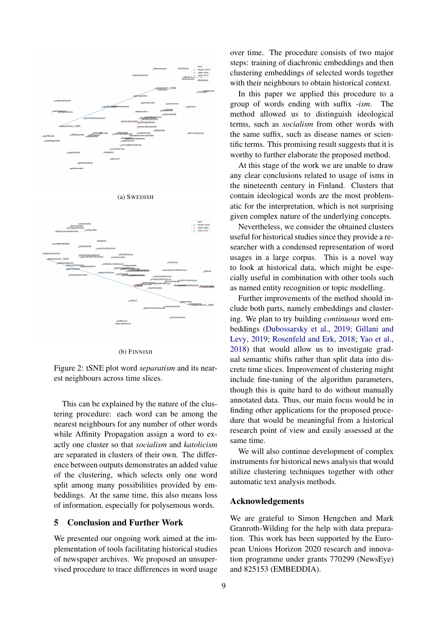<span id="page-6-0"></span>

(b) FINNISH

Figure 2: tSNE plot word *separatism* and its nearest neighbours across time slices.

This can be explained by the nature of the clustering procedure: each word can be among the nearest neighbours for any number of other words while Affinity Propagation assign a word to exactly one cluster so that *socialism* and *katolicism* are separated in clusters of their own. The difference between outputs demonstrates an added value of the clustering, which selects only one word split among many possibilities provided by embeddings. At the same time, this also means loss of information, especially for polysemous words.

# 5 Conclusion and Further Work

We presented our ongoing work aimed at the implementation of tools facilitating historical studies of newspaper archives. We proposed an unsupervised procedure to trace differences in word usage

over time. The procedure consists of two major steps: training of diachronic embeddings and then clustering embeddings of selected words together with their neighbours to obtain historical context.

In this paper we applied this procedure to a group of words ending with suffix *-ism*. The method allowed us to distinguish ideological terms, such as *socialism* from other words with the same suffix, such as disease names or scientific terms. This promising result suggests that it is worthy to further elaborate the proposed method.

At this stage of the work we are unable to draw any clear conclusions related to usage of isms in the nineteenth century in Finland. Clusters that contain ideological words are the most problematic for the interpretation, which is not surprising given complex nature of the underlying concepts.

Nevertheless, we consider the obtained clusters useful for historical studies since they provide a researcher with a condensed representation of word usages in a large corpus. This is a novel way to look at historical data, which might be especially useful in combination with other tools such as named entity recognition or topic modelling.

Further improvements of the method should include both parts, namely embeddings and clustering. We plan to try building *continuous* word embeddings [\(Dubossarsky et al.,](#page-7-14) [2019;](#page-7-14) [Gillani and](#page-7-15) [Levy,](#page-7-15) [2019;](#page-7-15) [Rosenfeld and Erk,](#page-7-16) [2018;](#page-7-16) [Yao et al.,](#page-7-17) [2018\)](#page-7-17) that would allow us to investigate gradual semantic shifts rather than split data into discrete time slices. Improvement of clustering might include fine-tuning of the algorithm parameters, though this is quite hard to do without manually annotated data. Thus, our main focus would be in finding other applications for the proposed procedure that would be meaningful from a historical research point of view and easily assessed at the same time.

We will also continue development of complex instruments for historical news analysis that would utilize clustering techniques together with other automatic text analysis methods.

## Acknowledgements

We are grateful to Simon Hengchen and Mark Granroth-Wilding for the help with data preparation. This work has been supported by the European Unions Horizon 2020 research and innovation programme under grants 770299 (NewsEye) and 825153 (EMBEDDIA).